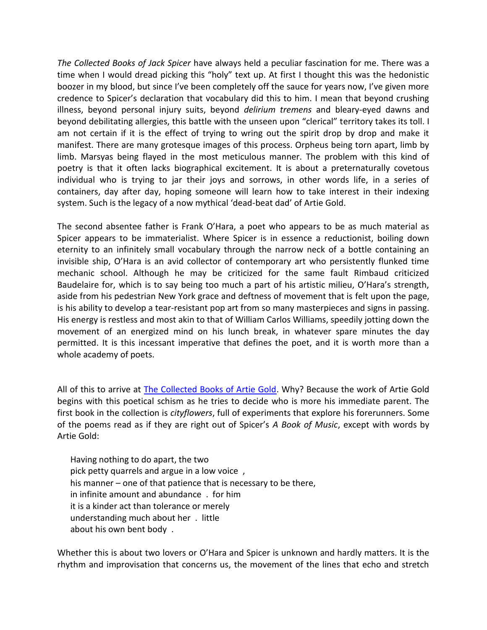*The Collected Books of Jack Spicer* have always held a peculiar fascination for me. There was a time when I would dread picking this "holy" text up. At first I thought this was the hedonistic boozer in my blood, but since I've been completely off the sauce for years now, I've given more credence to Spicer's declaration that vocabulary did this to him. I mean that beyond crushing illness, beyond personal injury suits, beyond *delirium tremens* and bleary-eyed dawns and beyond debilitating allergies, this battle with the unseen upon "clerical" territory takes its toll. I am not certain if it is the effect of trying to wring out the spirit drop by drop and make it manifest. There are many grotesque images of this process. Orpheus being torn apart, limb by limb. Marsyas being flayed in the most meticulous manner. The problem with this kind of poetry is that it often lacks biographical excitement. It is about a preternaturally covetous individual who is trying to jar their joys and sorrows, in other words life, in a series of containers, day after day, hoping someone will learn how to take interest in their indexing system. Such is the legacy of a now mythical 'dead-beat dad' of Artie Gold.

The second absentee father is Frank O'Hara, a poet who appears to be as much material as Spicer appears to be immaterialist. Where Spicer is in essence a reductionist, boiling down eternity to an infinitely small vocabulary through the narrow neck of a bottle containing an invisible ship, O'Hara is an avid collector of contemporary art who persistently flunked time mechanic school. Although he may be criticized for the same fault Rimbaud criticized Baudelaire for, which is to say being too much a part of his artistic milieu, O'Hara's strength, aside from his pedestrian New York grace and deftness of movement that is felt upon the page, is his ability to develop a tear-resistant pop art from so many masterpieces and signs in passing. His energy is restless and most akin to that of William Carlos Williams, speedily jotting down the movement of an energized mind on his lunch break, in whatever spare minutes the day permitted. It is this incessant imperative that defines the poet, and it is worth more than a whole academy of poets.

All of this to arrive at [The Collected Books of Artie Gold.](http://talonbooks.com/books/the-collected-books-of-artie-gold) Why? Because the work of Artie Gold begins with this poetical schism as he tries to decide who is more his immediate parent. The first book in the collection is *cityflowers*, full of experiments that explore his forerunners. Some of the poems read as if they are right out of Spicer's *A Book of Music*, except with words by Artie Gold:

 Having nothing to do apart, the two pick petty quarrels and argue in a low voice , his manner – one of that patience that is necessary to be there, in infinite amount and abundance . for him it is a kinder act than tolerance or merely understanding much about her . little about his own bent body .

Whether this is about two lovers or O'Hara and Spicer is unknown and hardly matters. It is the rhythm and improvisation that concerns us, the movement of the lines that echo and stretch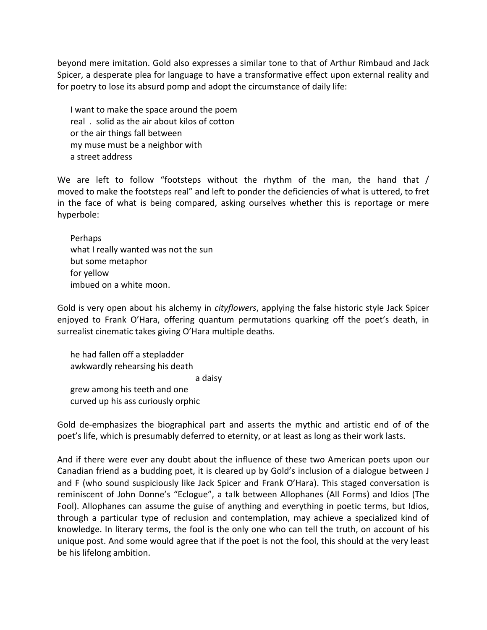beyond mere imitation. Gold also expresses a similar tone to that of Arthur Rimbaud and Jack Spicer, a desperate plea for language to have a transformative effect upon external reality and for poetry to lose its absurd pomp and adopt the circumstance of daily life:

 I want to make the space around the poem real . solid as the air about kilos of cotton or the air things fall between my muse must be a neighbor with a street address

We are left to follow "footsteps without the rhythm of the man, the hand that / moved to make the footsteps real" and left to ponder the deficiencies of what is uttered, to fret in the face of what is being compared, asking ourselves whether this is reportage or mere hyperbole:

 Perhaps what I really wanted was not the sun but some metaphor for yellow imbued on a white moon.

Gold is very open about his alchemy in *cityflowers*, applying the false historic style Jack Spicer enjoyed to Frank O'Hara, offering quantum permutations quarking off the poet's death, in surrealist cinematic takes giving O'Hara multiple deaths.

 he had fallen off a stepladder awkwardly rehearsing his death a daisy grew among his teeth and one curved up his ass curiously orphic

Gold de-emphasizes the biographical part and asserts the mythic and artistic end of of the poet's life, which is presumably deferred to eternity, or at least as long as their work lasts.

And if there were ever any doubt about the influence of these two American poets upon our Canadian friend as a budding poet, it is cleared up by Gold's inclusion of a dialogue between J and F (who sound suspiciously like Jack Spicer and Frank O'Hara). This staged conversation is reminiscent of John Donne's "Eclogue", a talk between Allophanes (All Forms) and Idios (The Fool). Allophanes can assume the guise of anything and everything in poetic terms, but Idios, through a particular type of reclusion and contemplation, may achieve a specialized kind of knowledge. In literary terms, the fool is the only one who can tell the truth, on account of his unique post. And some would agree that if the poet is not the fool, this should at the very least be his lifelong ambition.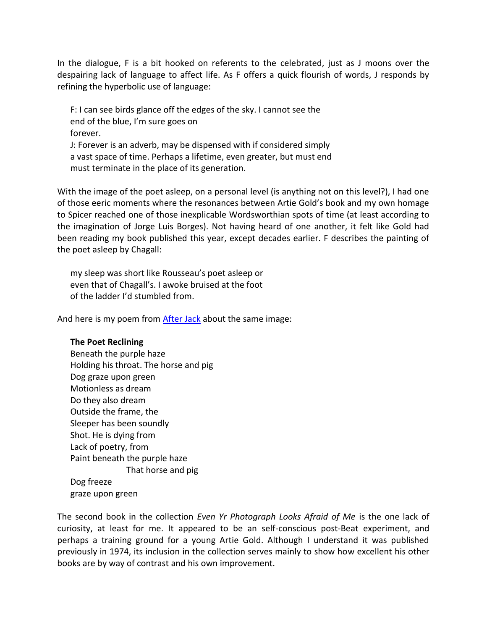In the dialogue, F is a bit hooked on referents to the celebrated, just as J moons over the despairing lack of language to affect life. As F offers a quick flourish of words, J responds by refining the hyperbolic use of language:

 F: I can see birds glance off the edges of the sky. I cannot see the end of the blue, I'm sure goes on forever. J: Forever is an adverb, may be dispensed with if considered simply a vast space of time. Perhaps a lifetime, even greater, but must end must terminate in the place of its generation.

With the image of the poet asleep, on a personal level (is anything not on this level?), I had one of those eeric moments where the resonances between Artie Gold's book and my own homage to Spicer reached one of those inexplicable Wordsworthian spots of time (at least according to the imagination of Jorge Luis Borges). Not having heard of one another, it felt like Gold had been reading my book published this year, except decades earlier. F describes the painting of the poet asleep by Chagall:

 my sleep was short like Rousseau's poet asleep or even that of Chagall's. I awoke bruised at the foot of the ladder I'd stumbled from.

And here is my poem from [After Jack](http://www.talonbooks.com/books/after-jack) about the same image:

## **The Poet Reclining**

 Beneath the purple haze Holding his throat. The horse and pig Dog graze upon green Motionless as dream Do they also dream Outside the frame, the Sleeper has been soundly Shot. He is dying from Lack of poetry, from Paint beneath the purple haze That horse and pig Dog freeze graze upon green

The second book in the collection *Even Yr Photograph Looks Afraid of Me* is the one lack of curiosity, at least for me. It appeared to be an self-conscious post-Beat experiment, and perhaps a training ground for a young Artie Gold. Although I understand it was published previously in 1974, its inclusion in the collection serves mainly to show how excellent his other books are by way of contrast and his own improvement.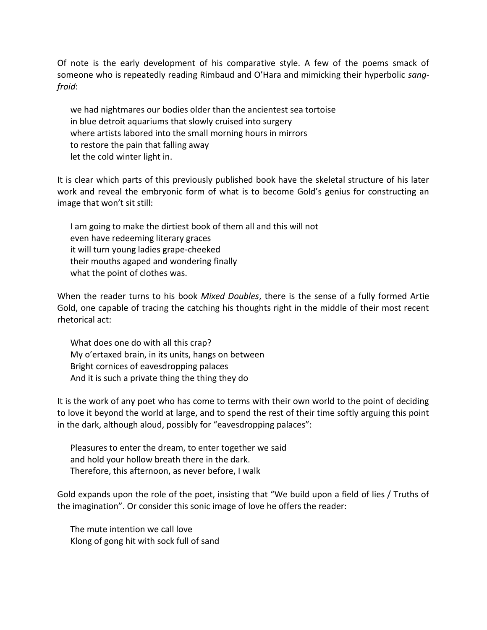Of note is the early development of his comparative style. A few of the poems smack of someone who is repeatedly reading Rimbaud and O'Hara and mimicking their hyperbolic *sangfroid*:

 we had nightmares our bodies older than the ancientest sea tortoise in blue detroit aquariums that slowly cruised into surgery where artists labored into the small morning hours in mirrors to restore the pain that falling away let the cold winter light in.

It is clear which parts of this previously published book have the skeletal structure of his later work and reveal the embryonic form of what is to become Gold's genius for constructing an image that won't sit still:

 I am going to make the dirtiest book of them all and this will not even have redeeming literary graces it will turn young ladies grape-cheeked their mouths agaped and wondering finally what the point of clothes was.

When the reader turns to his book *Mixed Doubles*, there is the sense of a fully formed Artie Gold, one capable of tracing the catching his thoughts right in the middle of their most recent rhetorical act:

 What does one do with all this crap? My o'ertaxed brain, in its units, hangs on between Bright cornices of eavesdropping palaces And it is such a private thing the thing they do

It is the work of any poet who has come to terms with their own world to the point of deciding to love it beyond the world at large, and to spend the rest of their time softly arguing this point in the dark, although aloud, possibly for "eavesdropping palaces":

 Pleasures to enter the dream, to enter together we said and hold your hollow breath there in the dark. Therefore, this afternoon, as never before, I walk

Gold expands upon the role of the poet, insisting that "We build upon a field of lies / Truths of the imagination". Or consider this sonic image of love he offers the reader:

 The mute intention we call love Klong of gong hit with sock full of sand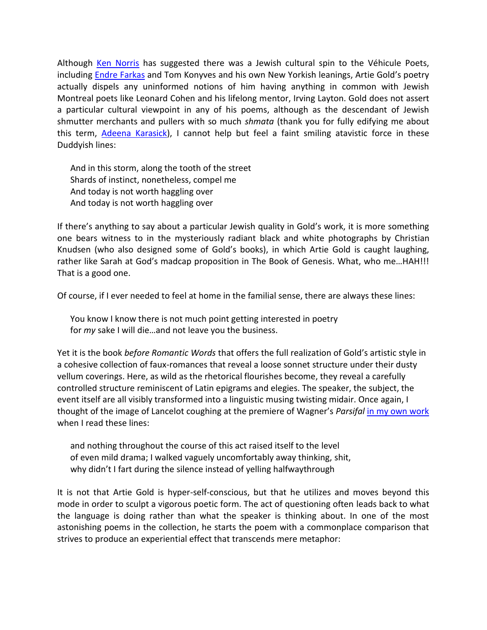Although [Ken Norris](http://talonbooks.com/authors/ken-norris) has suggested there was a Jewish cultural spin to the Véhicule Poets, including [Endre Farkas](http://www.talonbooks.com/authors/endre-farkas) and Tom Konyves and his own New Yorkish leanings, Artie Gold's poetry actually dispels any uninformed notions of him having anything in common with Jewish Montreal poets like Leonard Cohen and his lifelong mentor, Irving Layton. Gold does not assert a particular cultural viewpoint in any of his poems, although as the descendant of Jewish shmutter merchants and pullers with so much *shmata* (thank you for fully edifying me about this term, [Adeena Karasick\)](http://talonbooks.com/authors/adeena-karasick), I cannot help but feel a faint smiling atavistic force in these Duddyish lines:

 And in this storm, along the tooth of the street Shards of instinct, nonetheless, compel me And today is not worth haggling over And today is not worth haggling over

If there's anything to say about a particular Jewish quality in Gold's work, it is more something one bears witness to in the mysteriously radiant black and white photographs by Christian Knudsen (who also designed some of Gold's books), in which Artie Gold is caught laughing, rather like Sarah at God's madcap proposition in The Book of Genesis. What, who me…HAH!!! That is a good one.

Of course, if I ever needed to feel at home in the familial sense, there are always these lines:

 You know I know there is not much point getting interested in poetry for *my* sake I will die…and not leave you the business.

Yet it is the book *before Romantic Words* that offers the full realization of Gold's artistic style in a cohesive collection of faux-romances that reveal a loose sonnet structure under their dusty vellum coverings. Here, as wild as the rhetorical flourishes become, they reveal a carefully controlled structure reminiscent of Latin epigrams and elegies. The speaker, the subject, the event itself are all visibly transformed into a linguistic musing twisting midair. Once again, I thought of the image of Lancelot coughing at the premiere of Wagner's *Parsifal* [in my own work](http://www.talonbooks.com/books/after-jack) when I read these lines:

 and nothing throughout the course of this act raised itself to the level of even mild drama; I walked vaguely uncomfortably away thinking, shit, why didn't I fart during the silence instead of yelling halfwaythrough

It is not that Artie Gold is hyper-self-conscious, but that he utilizes and moves beyond this mode in order to sculpt a vigorous poetic form. The act of questioning often leads back to what the language is doing rather than what the speaker is thinking about. In one of the most astonishing poems in the collection, he starts the poem with a commonplace comparison that strives to produce an experiential effect that transcends mere metaphor: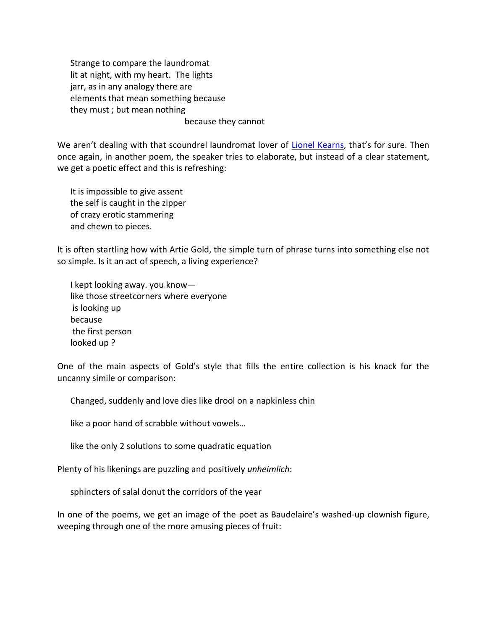Strange to compare the laundromat lit at night, with my heart. The lights jarr, as in any analogy there are elements that mean something because they must ; but mean nothing because they cannot

We aren't dealing with that scoundrel laundromat lover of [Lionel Kearns](http://www.talonbooks.com/authors/lionel-kearns), that's for sure. Then once again, in another poem, the speaker tries to elaborate, but instead of a clear statement, we get a poetic effect and this is refreshing:

 It is impossible to give assent the self is caught in the zipper of crazy erotic stammering and chewn to pieces.

It is often startling how with Artie Gold, the simple turn of phrase turns into something else not so simple. Is it an act of speech, a living experience?

 I kept looking away. you know like those streetcorners where everyone is looking up because the first person looked up ?

One of the main aspects of Gold's style that fills the entire collection is his knack for the uncanny simile or comparison:

Changed, suddenly and love dies like drool on a napkinless chin

like a poor hand of scrabble without vowels…

like the only 2 solutions to some quadratic equation

Plenty of his likenings are puzzling and positively *unheimlich*:

sphincters of salal donut the corridors of the year

In one of the poems, we get an image of the poet as Baudelaire's washed-up clownish figure, weeping through one of the more amusing pieces of fruit: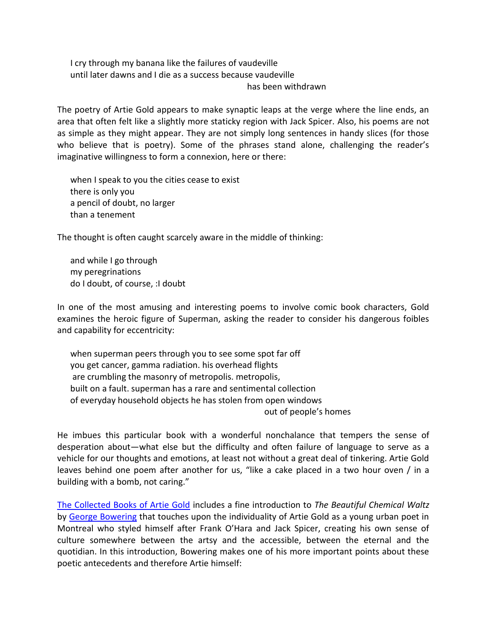I cry through my banana like the failures of vaudeville until later dawns and I die as a success because vaudeville has been withdrawn

The poetry of Artie Gold appears to make synaptic leaps at the verge where the line ends, an area that often felt like a slightly more staticky region with Jack Spicer. Also, his poems are not as simple as they might appear. They are not simply long sentences in handy slices (for those who believe that is poetry). Some of the phrases stand alone, challenging the reader's imaginative willingness to form a connexion, here or there:

 when I speak to you the cities cease to exist there is only you a pencil of doubt, no larger than a tenement

The thought is often caught scarcely aware in the middle of thinking:

 and while I go through my peregrinations do I doubt, of course, :I doubt

In one of the most amusing and interesting poems to involve comic book characters, Gold examines the heroic figure of Superman, asking the reader to consider his dangerous foibles and capability for eccentricity:

 when superman peers through you to see some spot far off you get cancer, gamma radiation. his overhead flights are crumbling the masonry of metropolis. metropolis, built on a fault. superman has a rare and sentimental collection of everyday household objects he has stolen from open windows out of people's homes

He imbues this particular book with a wonderful nonchalance that tempers the sense of desperation about—what else but the difficulty and often failure of language to serve as a vehicle for our thoughts and emotions, at least not without a great deal of tinkering. Artie Gold leaves behind one poem after another for us, "like a cake placed in a two hour oven / in a building with a bomb, not caring."

[The Collected Books of Artie Gold](http://talonbooks.com/books/the-collected-books-of-artie-gold) includes a fine introduction to *The Beautiful Chemical Waltz* by [George Bowering](http://www.talonbooks.com/authors/george-bowering) that touches upon the individuality of Artie Gold as a young urban poet in Montreal who styled himself after Frank O'Hara and Jack Spicer, creating his own sense of culture somewhere between the artsy and the accessible, between the eternal and the quotidian. In this introduction, Bowering makes one of his more important points about these poetic antecedents and therefore Artie himself: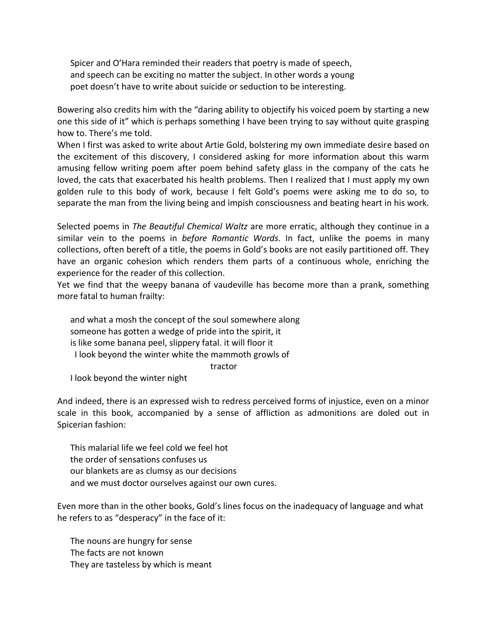Spicer and O'Hara reminded their readers that poetry is made of speech, and speech can be exciting no matter the subject. In other words a young poet doesn't have to write about suicide or seduction to be interesting.

Bowering also credits him with the "daring ability to objectify his voiced poem by starting a new one this side of it" which is perhaps something I have been trying to say without quite grasping how to. There's me told.

When I first was asked to write about Artie Gold, bolstering my own immediate desire based on the excitement of this discovery, I considered asking for more information about this warm amusing fellow writing poem after poem behind safety glass in the company of the cats he loved, the cats that exacerbated his health problems. Then I realized that I must apply my own golden rule to this body of work, because I felt Gold's poems were asking me to do so, to separate the man from the living being and impish consciousness and beating heart in his work.

Selected poems in *The Beautiful Chemical Waltz* are more erratic, although they continue in a similar vein to the poems in *before Romantic Words*. In fact, unlike the poems in many collections, often bereft of a title, the poems in Gold's books are not easily partitioned off. They have an organic cohesion which renders them parts of a continuous whole, enriching the experience for the reader of this collection.

Yet we find that the weepy banana of vaudeville has become more than a prank, something more fatal to human frailty:

 and what a mosh the concept of the soul somewhere along someone has gotten a wedge of pride into the spirit, it is like some banana peel, slippery fatal. it will floor it I look beyond the winter white the mammoth growls of tractor

I look beyond the winter night

And indeed, there is an expressed wish to redress perceived forms of injustice, even on a minor scale in this book, accompanied by a sense of affliction as admonitions are doled out in Spicerian fashion:

 This malarial life we feel cold we feel hot the order of sensations confuses us our blankets are as clumsy as our decisions and we must doctor ourselves against our own cures.

Even more than in the other books, Gold's lines focus on the inadequacy of language and what he refers to as "desperacy" in the face of it:

 The nouns are hungry for sense The facts are not known They are tasteless by which is meant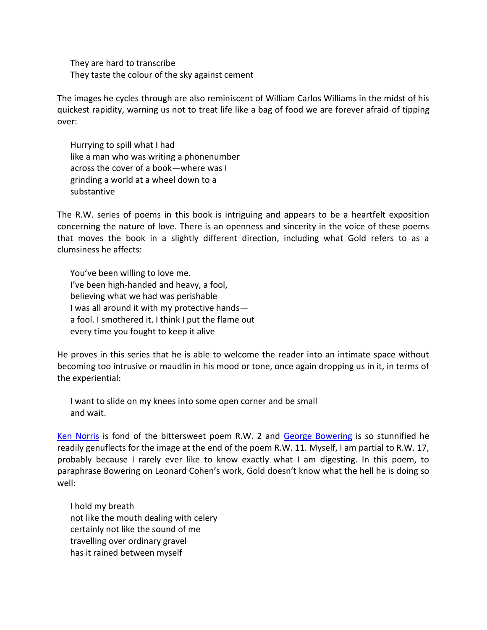They are hard to transcribe They taste the colour of the sky against cement

The images he cycles through are also reminiscent of William Carlos Williams in the midst of his quickest rapidity, warning us not to treat life like a bag of food we are forever afraid of tipping over:

 Hurrying to spill what I had like a man who was writing a phonenumber across the cover of a book—where was I grinding a world at a wheel down to a substantive

The R.W. series of poems in this book is intriguing and appears to be a heartfelt exposition concerning the nature of love. There is an openness and sincerity in the voice of these poems that moves the book in a slightly different direction, including what Gold refers to as a clumsiness he affects:

 You've been willing to love me. I've been high-handed and heavy, a fool, believing what we had was perishable I was all around it with my protective hands a fool. I smothered it. I think I put the flame out every time you fought to keep it alive

He proves in this series that he is able to welcome the reader into an intimate space without becoming too intrusive or maudlin in his mood or tone, once again dropping us in it, in terms of the experiential:

 I want to slide on my knees into some open corner and be small and wait.

[Ken Norris](http://talonbooks.com/authors/ken-norris) is fond of the bittersweet poem R.W. 2 and [George Bowering](http://www.talonbooks.com/authors/george-bowering) is so stunnified he readily genuflects for the image at the end of the poem R.W. 11. Myself, I am partial to R.W. 17, probably because I rarely ever like to know exactly what I am digesting. In this poem, to paraphrase Bowering on Leonard Cohen's work, Gold doesn't know what the hell he is doing so well:

 I hold my breath not like the mouth dealing with celery certainly not like the sound of me travelling over ordinary gravel has it rained between myself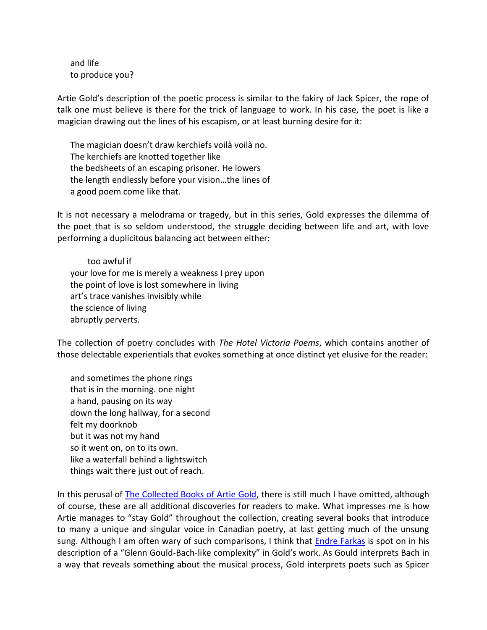and life to produce you?

Artie Gold's description of the poetic process is similar to the fakiry of Jack Spicer, the rope of talk one must believe is there for the trick of language to work. In his case, the poet is like a magician drawing out the lines of his escapism, or at least burning desire for it:

 The magician doesn't draw kerchiefs voilà voilà no. The kerchiefs are knotted together like the bedsheets of an escaping prisoner. He lowers the length endlessly before your vision…the lines of a good poem come like that.

It is not necessary a melodrama or tragedy, but in this series, Gold expresses the dilemma of the poet that is so seldom understood, the struggle deciding between life and art, with love performing a duplicitous balancing act between either:

 too awful if your love for me is merely a weakness I prey upon the point of love is lost somewhere in living art's trace vanishes invisibly while the science of living abruptly perverts.

The collection of poetry concludes with *The Hotel Victoria Poems*, which contains another of those delectable experientials that evokes something at once distinct yet elusive for the reader:

 and sometimes the phone rings that is in the morning. one night a hand, pausing on its way down the long hallway, for a second felt my doorknob but it was not my hand so it went on, on to its own. like a waterfall behind a lightswitch things wait there just out of reach.

In this perusal of [The Collected Books of Artie Gold,](http://talonbooks.com/books/the-collected-books-of-artie-gold) there is still much I have omitted, although of course, these are all additional discoveries for readers to make. What impresses me is how Artie manages to "stay Gold" throughout the collection, creating several books that introduce to many a unique and singular voice in Canadian poetry, at last getting much of the unsung sung. Although I am often wary of such comparisons, I think that **Endre Farkas** is spot on in his description of a "Glenn Gould-Bach-like complexity" in Gold's work. As Gould interprets Bach in a way that reveals something about the musical process, Gold interprets poets such as Spicer